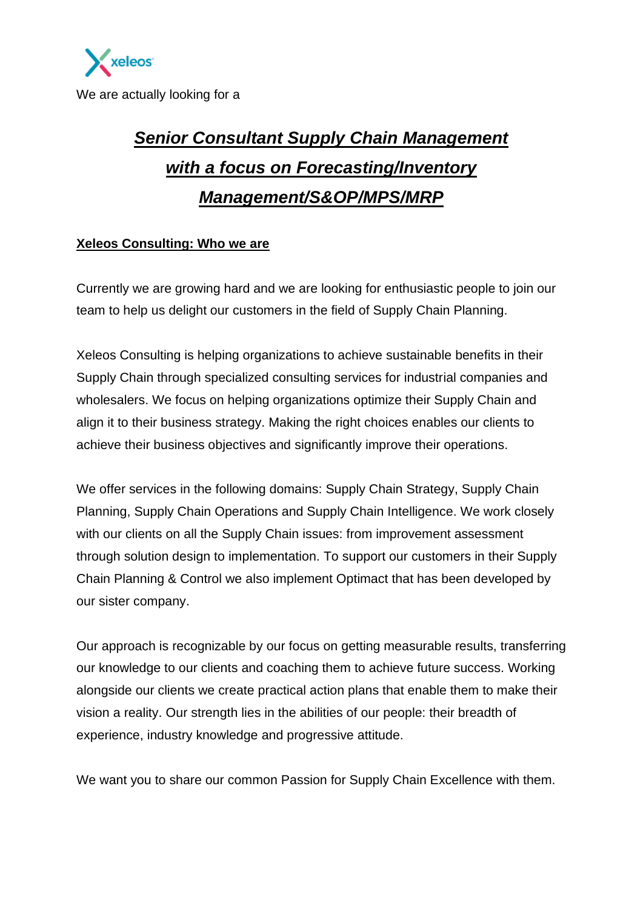

We are actually looking for a

## *Senior Consultant Supply Chain Management with a focus on Forecasting/Inventory Management/S&OP/MPS/MRP*

#### **Xeleos Consulting: Who we are**

Currently we are growing hard and we are looking for enthusiastic people to join our team to help us delight our customers in the field of Supply Chain Planning.

Xeleos Consulting is helping organizations to achieve sustainable benefits in their Supply Chain through specialized consulting services for industrial companies and wholesalers. We focus on helping organizations optimize their Supply Chain and align it to their business strategy. Making the right choices enables our clients to achieve their business objectives and significantly improve their operations.

We offer services in the following domains: Supply Chain Strategy, Supply Chain Planning, Supply Chain Operations and Supply Chain Intelligence. We work closely with our clients on all the Supply Chain issues: from improvement assessment through solution design to implementation. To support our customers in their Supply Chain Planning & Control we also implement Optimact that has been developed by our sister company.

Our approach is recognizable by our focus on getting measurable results, transferring our knowledge to our clients and coaching them to achieve future success. Working alongside our clients we create practical action plans that enable them to make their vision a reality. Our strength lies in the abilities of our people: their breadth of experience, industry knowledge and progressive attitude.

We want you to share our common Passion for Supply Chain Excellence with them.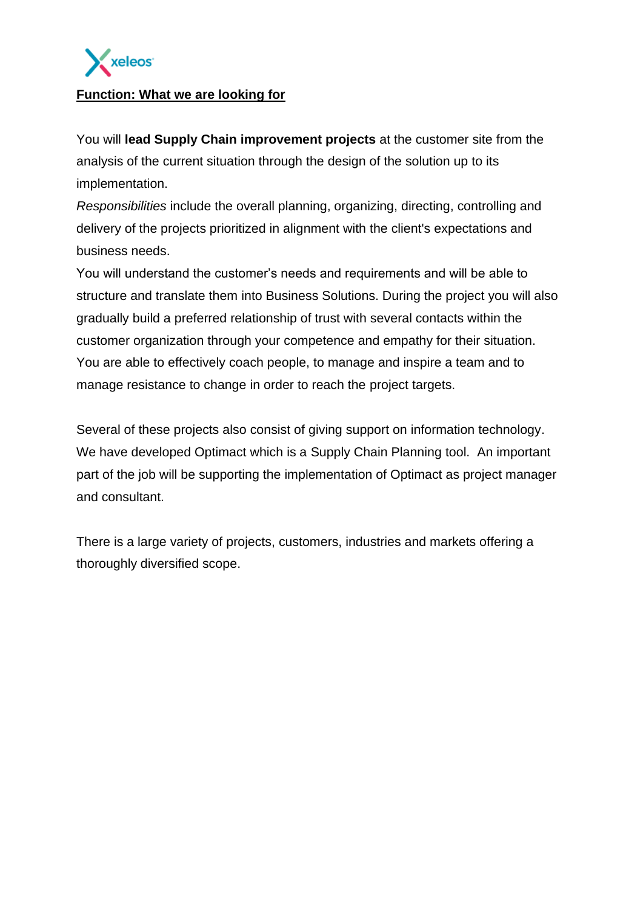

#### **Function: What we are looking for**

You will **lead Supply Chain improvement projects** at the customer site from the analysis of the current situation through the design of the solution up to its implementation.

*Responsibilities* include the overall planning, organizing, directing, controlling and delivery of the projects prioritized in alignment with the client's expectations and business needs.

You will understand the customer's needs and requirements and will be able to structure and translate them into Business Solutions. During the project you will also gradually build a preferred relationship of trust with several contacts within the customer organization through your competence and empathy for their situation. You are able to effectively coach people, to manage and inspire a team and to manage resistance to change in order to reach the project targets.

Several of these projects also consist of giving support on information technology. We have developed Optimact which is a Supply Chain Planning tool. An important part of the job will be supporting the implementation of Optimact as project manager and consultant.

There is a large variety of projects, customers, industries and markets offering a thoroughly diversified scope.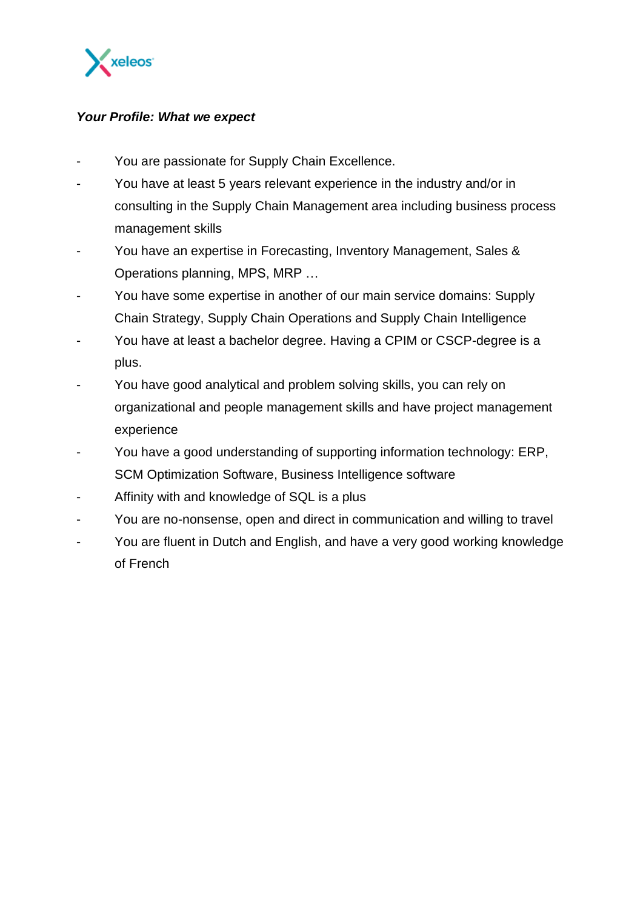

#### *Your Profile: What we expect*

- You are passionate for Supply Chain Excellence.
- You have at least 5 years relevant experience in the industry and/or in consulting in the Supply Chain Management area including business process management skills
- You have an expertise in Forecasting, Inventory Management, Sales & Operations planning, MPS, MRP …
- You have some expertise in another of our main service domains: Supply Chain Strategy, Supply Chain Operations and Supply Chain Intelligence
- You have at least a bachelor degree. Having a CPIM or CSCP-degree is a plus.
- You have good analytical and problem solving skills, you can rely on organizational and people management skills and have project management experience
- You have a good understanding of supporting information technology: ERP, SCM Optimization Software, Business Intelligence software
- Affinity with and knowledge of SQL is a plus
- You are no-nonsense, open and direct in communication and willing to travel
- You are fluent in Dutch and English, and have a very good working knowledge of French